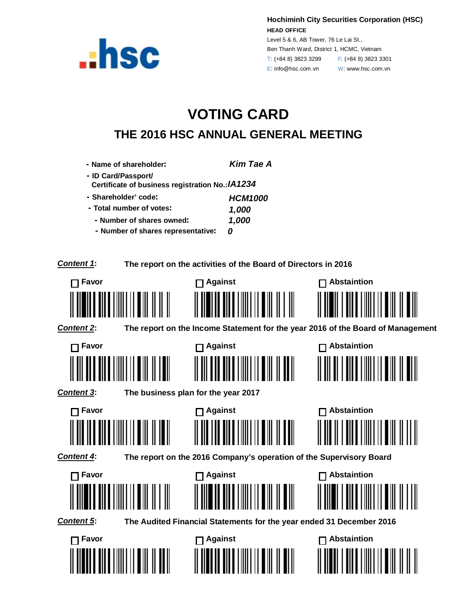

**Hochiminh City Securities Corporation (HSC) HEAD OFFICE**

Level 5 & 6, AB Tower, 76 Le Lai St., Ben Thanh Ward, District 1, HCMC, Vietnam T: (+84 8) 3823 3299 F: (+84 8) 3823 3301 E: info@hsc.com.vn W: www.hsc.com.vn

## **VOTING CARD THE 2016 HSC ANNUAL GENERAL MEETING**

| - Name of shareholder:                                                  | <b>Kim Tae A</b>                                                     |                                                                                 |
|-------------------------------------------------------------------------|----------------------------------------------------------------------|---------------------------------------------------------------------------------|
| - ID Card/Passport/<br>Certificate of business registration No.: IA1234 |                                                                      |                                                                                 |
| - Shareholder' code:                                                    | <b>HCM1000</b>                                                       |                                                                                 |
| - Total number of votes:                                                | 1,000                                                                |                                                                                 |
| - Number of shares owned:                                               | 1,000                                                                |                                                                                 |
| - Number of shares representative:                                      | 0                                                                    |                                                                                 |
| <b>Content 1:</b>                                                       | The report on the activities of the Board of Directors in 2016       |                                                                                 |
| Favor                                                                   | <b>□ Against</b>                                                     | <b>Abstaintion</b>                                                              |
|                                                                         |                                                                      |                                                                                 |
|                                                                         |                                                                      |                                                                                 |
| Content 2:                                                              |                                                                      | The report on the Income Statement for the year 2016 of the Board of Management |
| $\sqcap$ Favor                                                          | $\Box$ Against                                                       | $\Box$ Abstaintion                                                              |
|                                                                         |                                                                      |                                                                                 |
|                                                                         |                                                                      |                                                                                 |
|                                                                         |                                                                      |                                                                                 |
| <b>Content 3:</b>                                                       | The business plan for the year 2017                                  |                                                                                 |
| ⊤ Favor                                                                 | $\Box$ Against                                                       | <b>Abstaintion</b>                                                              |
|                                                                         |                                                                      |                                                                                 |
|                                                                         |                                                                      |                                                                                 |
| <b>Content 4:</b>                                                       | The report on the 2016 Company's operation of the Supervisory Board  |                                                                                 |
| ヿ Favor                                                                 | $\Box$ Against                                                       | <b>Abstaintion</b>                                                              |
|                                                                         |                                                                      |                                                                                 |
|                                                                         |                                                                      |                                                                                 |
| Content 5:                                                              | The Audited Financial Statements for the year ended 31 December 2016 |                                                                                 |
| $\prod$ Favor                                                           | Against                                                              | $\prod$ Abstaintion                                                             |
|                                                                         |                                                                      |                                                                                 |
|                                                                         | <b>           </b>                                                   |                                                                                 |
|                                                                         |                                                                      |                                                                                 |